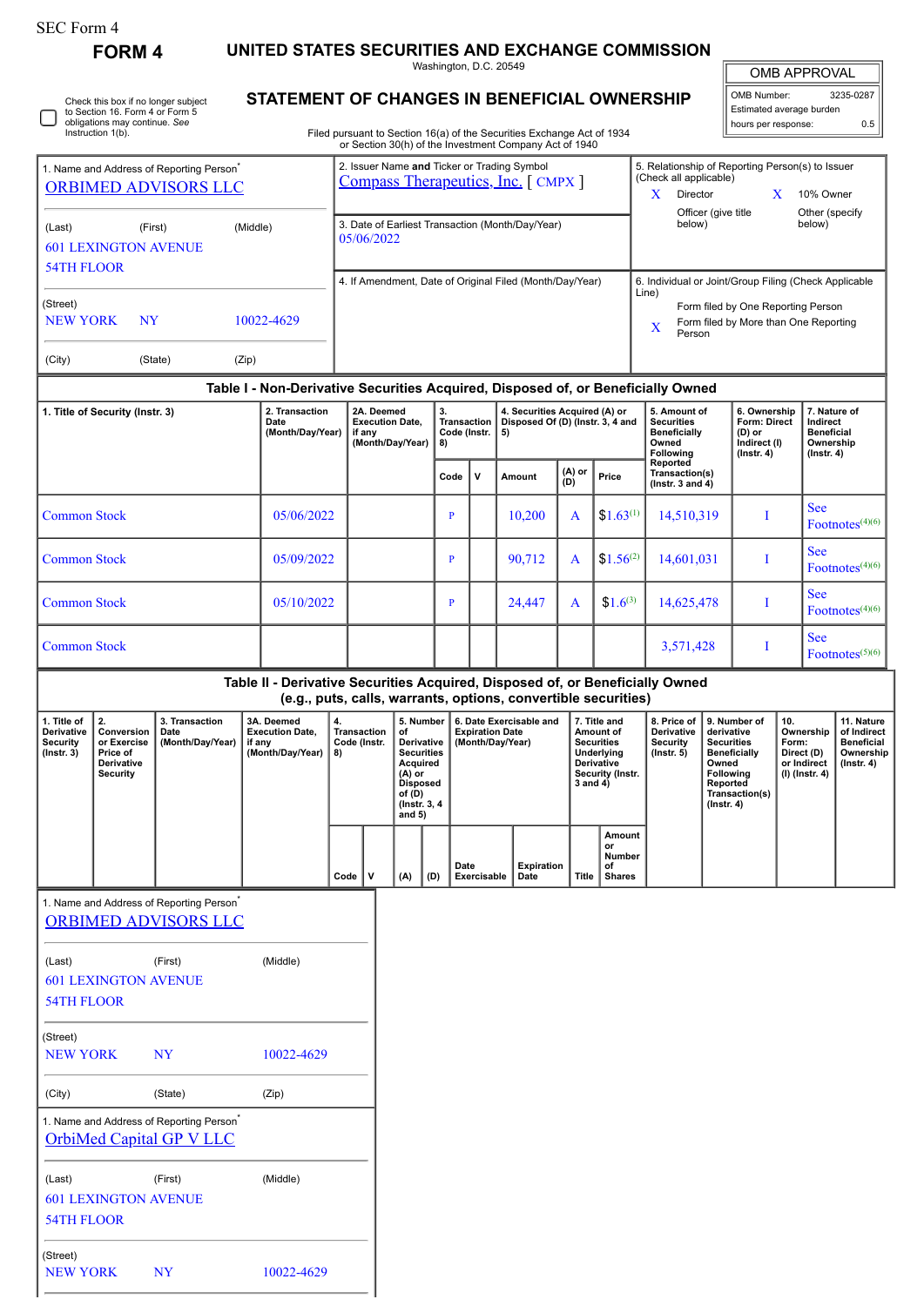## SEC Form 4

601 LEXINGTON AVENUE

NEW YORK NY 10022-4629

54TH FLOOR

(Street)

**FORM 4 UNITED STATES SECURITIES AND EXCHANGE COMMISSION**

Washington, D.C. 20549

## **STATEMENT OF CHANGES IN BENEFICIAL OWNERSHIP**

Filed pursuant to Section 16(a) of the Securities Exchange Act of 1934 or Section 30(h) of the Investment Company Act of 1940

| <b>OMB APPROVAL</b> |           |  |  |  |  |
|---------------------|-----------|--|--|--|--|
|                     |           |  |  |  |  |
| OMB Number:         | 3235-0287 |  |  |  |  |

Estimated average burden hours per response: 0.5

| 1. Name and Address of Reporting Person <sup>*</sup><br>ORBIMED ADVISORS LLC  |                                                                              |                                                                                         |                                                                                  | 2. Issuer Name and Ticker or Trading Symbol<br>Compass Therapeutics, Inc. [CMPX] |                                                                |                                                                                                                                        |                                            |                                                                         |                                                                |                                                                                                     | 5. Relationship of Reporting Person(s) to Issuer<br>(Check all applicable)<br>$X$ Director<br>X<br>10% Owner |                                                                         |                                                                                                                                                |  |                                                                                |                                                                                 |
|-------------------------------------------------------------------------------|------------------------------------------------------------------------------|-----------------------------------------------------------------------------------------|----------------------------------------------------------------------------------|----------------------------------------------------------------------------------|----------------------------------------------------------------|----------------------------------------------------------------------------------------------------------------------------------------|--------------------------------------------|-------------------------------------------------------------------------|----------------------------------------------------------------|-----------------------------------------------------------------------------------------------------|--------------------------------------------------------------------------------------------------------------|-------------------------------------------------------------------------|------------------------------------------------------------------------------------------------------------------------------------------------|--|--------------------------------------------------------------------------------|---------------------------------------------------------------------------------|
| (First)<br>(Middle)<br>(Last)<br><b>601 LEXINGTON AVENUE</b>                  |                                                                              |                                                                                         |                                                                                  |                                                                                  | 3. Date of Earliest Transaction (Month/Day/Year)<br>05/06/2022 |                                                                                                                                        |                                            |                                                                         |                                                                |                                                                                                     |                                                                                                              | below)                                                                  | Officer (give title                                                                                                                            |  | below)                                                                         | Other (specify                                                                  |
| <b>54TH FLOOR</b>                                                             |                                                                              |                                                                                         |                                                                                  |                                                                                  |                                                                |                                                                                                                                        |                                            |                                                                         |                                                                |                                                                                                     |                                                                                                              | 6. Individual or Joint/Group Filing (Check Applicable                   |                                                                                                                                                |  |                                                                                |                                                                                 |
| (Street)<br><b>NEW YORK</b><br><b>NY</b><br>10022-4629                        |                                                                              |                                                                                         |                                                                                  | 4. If Amendment, Date of Original Filed (Month/Day/Year)                         |                                                                |                                                                                                                                        |                                            |                                                                         |                                                                | Line)<br>Form filed by One Reporting Person<br>Form filed by More than One Reporting<br>X<br>Person |                                                                                                              |                                                                         |                                                                                                                                                |  |                                                                                |                                                                                 |
| (City)                                                                        |                                                                              | (State)                                                                                 | (Zip)                                                                            |                                                                                  |                                                                |                                                                                                                                        |                                            |                                                                         |                                                                |                                                                                                     |                                                                                                              |                                                                         |                                                                                                                                                |  |                                                                                |                                                                                 |
|                                                                               |                                                                              |                                                                                         | Table I - Non-Derivative Securities Acquired, Disposed of, or Beneficially Owned |                                                                                  |                                                                |                                                                                                                                        |                                            |                                                                         |                                                                |                                                                                                     |                                                                                                              |                                                                         |                                                                                                                                                |  |                                                                                |                                                                                 |
| 2. Transaction<br>1. Title of Security (Instr. 3)<br>Date<br>(Month/Day/Year) |                                                                              |                                                                                         | 2A. Deemed<br>if any                                                             |                                                                                  | <b>Execution Date,</b><br>(Month/Day/Year)                     | 3.<br><b>Transaction</b><br>Code (Instr.<br>8)                                                                                         |                                            | 4. Securities Acquired (A) or<br>Disposed Of (D) (Instr. 3, 4 and<br>5) |                                                                |                                                                                                     | 5. Amount of<br><b>Securities</b><br><b>Beneficially</b><br>Owned<br>Following                               |                                                                         | 6. Ownership<br>Form: Direct<br>(D) or<br>Indirect (I)<br>$($ lnstr. 4 $)$                                                                     |  | 7. Nature of<br>Indirect<br><b>Beneficial</b><br>Ownership<br>$($ lnstr. 4 $)$ |                                                                                 |
|                                                                               |                                                                              |                                                                                         |                                                                                  |                                                                                  |                                                                | Code                                                                                                                                   | V                                          | Amount                                                                  | (A) or<br>(D)                                                  | Price                                                                                               | Reported<br>Transaction(s)<br>( $lnstr. 3 and 4$ )                                                           |                                                                         |                                                                                                                                                |  |                                                                                |                                                                                 |
| <b>Common Stock</b>                                                           |                                                                              |                                                                                         | 05/06/2022                                                                       |                                                                                  |                                                                |                                                                                                                                        | $\mathbf{P}$<br>10,200<br>A                |                                                                         | $$1.63^{(1)}$                                                  |                                                                                                     | 14,510,319<br>I                                                                                              |                                                                         | <b>See</b><br>Footnotes $(4)(6)$                                                                                                               |  |                                                                                |                                                                                 |
|                                                                               | <b>Common Stock</b>                                                          |                                                                                         | 05/09/2022                                                                       |                                                                                  |                                                                |                                                                                                                                        |                                            |                                                                         | 90,712                                                         | A                                                                                                   | $$1.56^{(2)}$                                                                                                |                                                                         | 14,601,031                                                                                                                                     |  | <b>See</b><br>Footnotes $(4)(6)$                                               |                                                                                 |
|                                                                               | <b>Common Stock</b>                                                          |                                                                                         | 05/10/2022                                                                       |                                                                                  |                                                                |                                                                                                                                        | $\mathbf{P}$                               |                                                                         | 24,447                                                         | A                                                                                                   | $$1.6^{(3)}$                                                                                                 |                                                                         | 14,625,478<br>I                                                                                                                                |  | <b>See</b><br>Footnotes $(4)(6)$                                               |                                                                                 |
| <b>Common Stock</b>                                                           |                                                                              |                                                                                         |                                                                                  |                                                                                  |                                                                |                                                                                                                                        |                                            |                                                                         |                                                                |                                                                                                     | 3,571,428                                                                                                    |                                                                         | <b>See</b><br>I<br>Footnotes $(5)(6)$                                                                                                          |  |                                                                                |                                                                                 |
|                                                                               |                                                                              |                                                                                         | Table II - Derivative Securities Acquired, Disposed of, or Beneficially Owned    |                                                                                  |                                                                |                                                                                                                                        |                                            |                                                                         | (e.g., puts, calls, warrants, options, convertible securities) |                                                                                                     |                                                                                                              |                                                                         |                                                                                                                                                |  |                                                                                |                                                                                 |
| 1. Title of<br><b>Derivative</b><br><b>Security</b><br>$($ Instr. 3 $)$       | 2.<br>Conversion<br>or Exercise<br>Price of<br>Derivative<br><b>Security</b> | 3. Transaction<br>Date<br>(Month/Day/Year)                                              | 3A. Deemed<br><b>Execution Date,</b><br>if any<br>(Month/Day/Year)               | 4.<br><b>Transaction</b><br>Code (Instr.<br>8)                                   |                                                                | 5. Number<br>of<br>Derivative<br><b>Securities</b><br>Acquired<br>$(A)$ or<br><b>Disposed</b><br>of $(D)$<br>(Instr. 3, 4)<br>and $5)$ | <b>Expiration Date</b><br>(Month/Day/Year) |                                                                         | 6. Date Exercisable and                                        | 3 and 4)                                                                                            | 7. Title and<br>Amount of<br><b>Securities</b><br>Underlying<br><b>Derivative</b><br>Security (Instr.        | 8. Price of<br><b>Derivative</b><br><b>Security</b><br>$($ Instr. 5 $)$ | 9. Number of<br>derivative<br><b>Securities</b><br><b>Beneficially</b><br>Owned<br>Following<br>Reported<br>Transaction(s)<br>$($ Instr. 4 $)$ |  | 10.<br>Ownership<br>Form:<br>Direct (D)<br>or Indirect<br>(I) (Instr. 4)       | 11. Nature<br>of Indirect<br><b>Beneficial</b><br>Ownership<br>$($ lnstr. 4 $)$ |
|                                                                               |                                                                              |                                                                                         |                                                                                  | Code $ V $                                                                       |                                                                | (A)                                                                                                                                    | Date<br>(D)                                | Exercisable                                                             | Expiration<br>Date                                             | Title                                                                                               | Amount<br>or<br>Number<br>of<br><b>Shares</b>                                                                |                                                                         |                                                                                                                                                |  |                                                                                |                                                                                 |
|                                                                               |                                                                              | 1. Name and Address of Reporting Person <sup>®</sup><br><b>ORBIMED ADVISORS LLC</b>     |                                                                                  |                                                                                  |                                                                |                                                                                                                                        |                                            |                                                                         |                                                                |                                                                                                     |                                                                                                              |                                                                         |                                                                                                                                                |  |                                                                                |                                                                                 |
| (Last)<br><b>54TH FLOOR</b>                                                   | <b>601 LEXINGTON AVENUE</b>                                                  | (First)                                                                                 | (Middle)                                                                         |                                                                                  |                                                                |                                                                                                                                        |                                            |                                                                         |                                                                |                                                                                                     |                                                                                                              |                                                                         |                                                                                                                                                |  |                                                                                |                                                                                 |
| (Street)<br><b>NEW YORK</b>                                                   |                                                                              | <b>NY</b>                                                                               | 10022-4629                                                                       |                                                                                  |                                                                |                                                                                                                                        |                                            |                                                                         |                                                                |                                                                                                     |                                                                                                              |                                                                         |                                                                                                                                                |  |                                                                                |                                                                                 |
| (City)                                                                        |                                                                              | (State)                                                                                 | (Zip)                                                                            |                                                                                  |                                                                |                                                                                                                                        |                                            |                                                                         |                                                                |                                                                                                     |                                                                                                              |                                                                         |                                                                                                                                                |  |                                                                                |                                                                                 |
|                                                                               |                                                                              | 1. Name and Address of Reporting Person <sup>*</sup><br><b>OrbiMed Capital GP V LLC</b> |                                                                                  |                                                                                  |                                                                |                                                                                                                                        |                                            |                                                                         |                                                                |                                                                                                     |                                                                                                              |                                                                         |                                                                                                                                                |  |                                                                                |                                                                                 |
| (Last)                                                                        |                                                                              | (First)                                                                                 | (Middle)                                                                         |                                                                                  |                                                                |                                                                                                                                        |                                            |                                                                         |                                                                |                                                                                                     |                                                                                                              |                                                                         |                                                                                                                                                |  |                                                                                |                                                                                 |